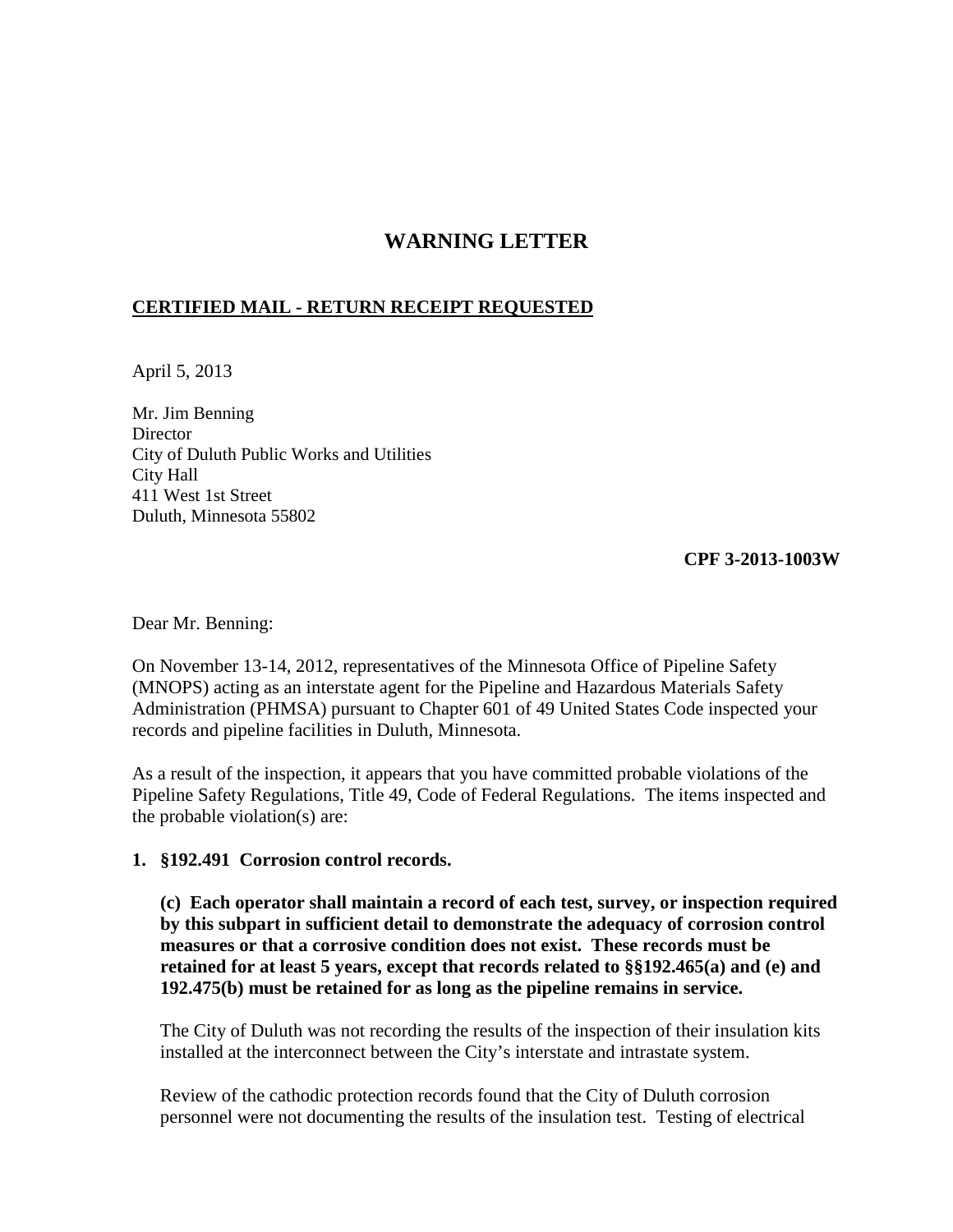## **WARNING LETTER**

## **CERTIFIED MAIL - RETURN RECEIPT REQUESTED**

April 5, 2013

Mr. Jim Benning **Director** City of Duluth Public Works and Utilities City Hall 411 West 1st Street Duluth, Minnesota 55802

**CPF 3-2013-1003W** 

Dear Mr. Benning:

On November 13-14, 2012, representatives of the Minnesota Office of Pipeline Safety (MNOPS) acting as an interstate agent for the Pipeline and Hazardous Materials Safety Administration (PHMSA) pursuant to Chapter 601 of 49 United States Code inspected your records and pipeline facilities in Duluth, Minnesota.

As a result of the inspection, it appears that you have committed probable violations of the Pipeline Safety Regulations, Title 49, Code of Federal Regulations. The items inspected and the probable violation(s) are:

## **1. §192.491 Corrosion control records.**

**(c) Each operator shall maintain a record of each test, survey, or inspection required by this subpart in sufficient detail to demonstrate the adequacy of corrosion control measures or that a corrosive condition does not exist. These records must be retained for at least 5 years, except that records related to §§192.465(a) and (e) and 192.475(b) must be retained for as long as the pipeline remains in service.**

The City of Duluth was not recording the results of the inspection of their insulation kits installed at the interconnect between the City's interstate and intrastate system.

 Review of the cathodic protection records found that the City of Duluth corrosion personnel were not documenting the results of the insulation test. Testing of electrical